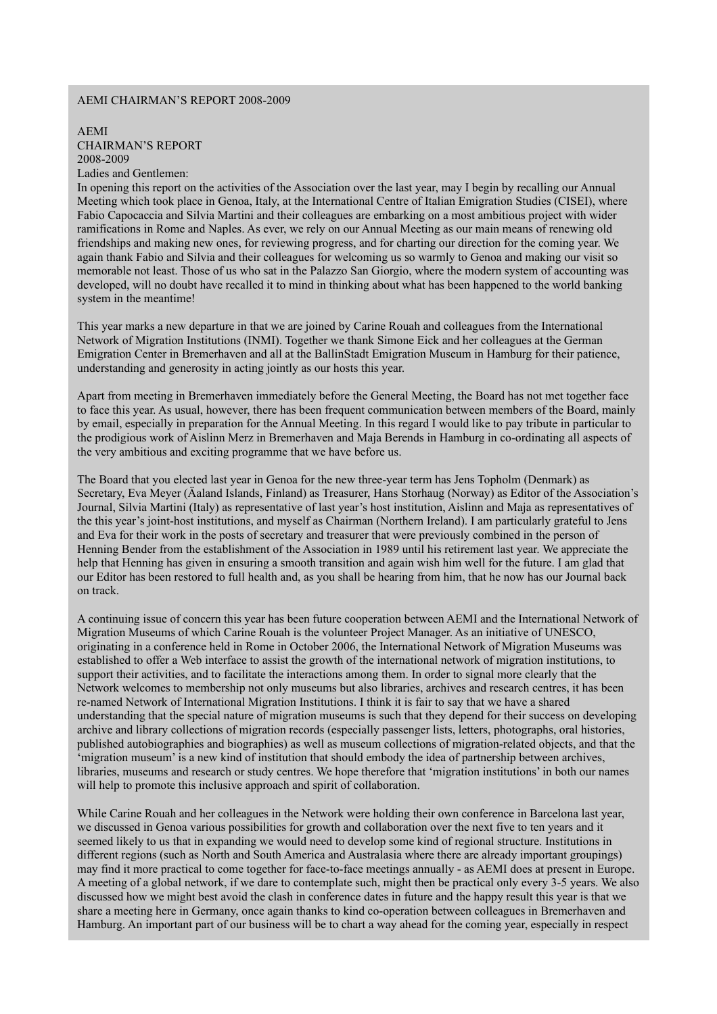## AEMI CHAIRMAN'S REPORT 2008-2009

## AEMI CHAIRMAN'S REPORT 2008-2009 Ladies and Gentlemen:

In opening this report on the activities of the Association over the last year, may I begin by recalling our Annual Meeting which took place in Genoa, Italy, at the International Centre of Italian Emigration Studies (CISEI), where Fabio Capocaccia and Silvia Martini and their colleagues are embarking on a most ambitious project with wider ramifications in Rome and Naples. As ever, we rely on our Annual Meeting as our main means of renewing old friendships and making new ones, for reviewing progress, and for charting our direction for the coming year. We again thank Fabio and Silvia and their colleagues for welcoming us so warmly to Genoa and making our visit so memorable not least. Those of us who sat in the Palazzo San Giorgio, where the modern system of accounting was developed, will no doubt have recalled it to mind in thinking about what has been happened to the world banking system in the meantime!

This year marks a new departure in that we are joined by Carine Rouah and colleagues from the International Network of Migration Institutions (INMI). Together we thank Simone Eick and her colleagues at the German Emigration Center in Bremerhaven and all at the BallinStadt Emigration Museum in Hamburg for their patience, understanding and generosity in acting jointly as our hosts this year.

Apart from meeting in Bremerhaven immediately before the General Meeting, the Board has not met together face to face this year. As usual, however, there has been frequent communication between members of the Board, mainly by email, especially in preparation for the Annual Meeting. In this regard I would like to pay tribute in particular to the prodigious work of Aislinn Merz in Bremerhaven and Maja Berends in Hamburg in co-ordinating all aspects of the very ambitious and exciting programme that we have before us.

The Board that you elected last year in Genoa for the new three-year term has Jens Topholm (Denmark) as Secretary, Eva Meyer (Äaland Islands, Finland) as Treasurer, Hans Storhaug (Norway) as Editor of the Association's Journal, Silvia Martini (Italy) as representative of last year's host institution, Aislinn and Maja as representatives of the this year's joint-host institutions, and myself as Chairman (Northern Ireland). I am particularly grateful to Jens and Eva for their work in the posts of secretary and treasurer that were previously combined in the person of Henning Bender from the establishment of the Association in 1989 until his retirement last year. We appreciate the help that Henning has given in ensuring a smooth transition and again wish him well for the future. I am glad that our Editor has been restored to full health and, as you shall be hearing from him, that he now has our Journal back on track.

A continuing issue of concern this year has been future cooperation between AEMI and the International Network of Migration Museums of which Carine Rouah is the volunteer Project Manager. As an initiative of UNESCO, originating in a conference held in Rome in October 2006, the International Network of Migration Museums was established to offer a Web interface to assist the growth of the international network of migration institutions, to support their activities, and to facilitate the interactions among them. In order to signal more clearly that the Network welcomes to membership not only museums but also libraries, archives and research centres, it has been re-named Network of International Migration Institutions. I think it is fair to say that we have a shared understanding that the special nature of migration museums is such that they depend for their success on developing archive and library collections of migration records (especially passenger lists, letters, photographs, oral histories, published autobiographies and biographies) as well as museum collections of migration-related objects, and that the 'migration museum' is a new kind of institution that should embody the idea of partnership between archives, libraries, museums and research or study centres. We hope therefore that 'migration institutions' in both our names will help to promote this inclusive approach and spirit of collaboration.

While Carine Rouah and her colleagues in the Network were holding their own conference in Barcelona last year, we discussed in Genoa various possibilities for growth and collaboration over the next five to ten years and it seemed likely to us that in expanding we would need to develop some kind of regional structure. Institutions in different regions (such as North and South America and Australasia where there are already important groupings) may find it more practical to come together for face-to-face meetings annually - as AEMI does at present in Europe. A meeting of a global network, if we dare to contemplate such, might then be practical only every 3-5 years. We also discussed how we might best avoid the clash in conference dates in future and the happy result this year is that we share a meeting here in Germany, once again thanks to kind co-operation between colleagues in Bremerhaven and Hamburg. An important part of our business will be to chart a way ahead for the coming year, especially in respect